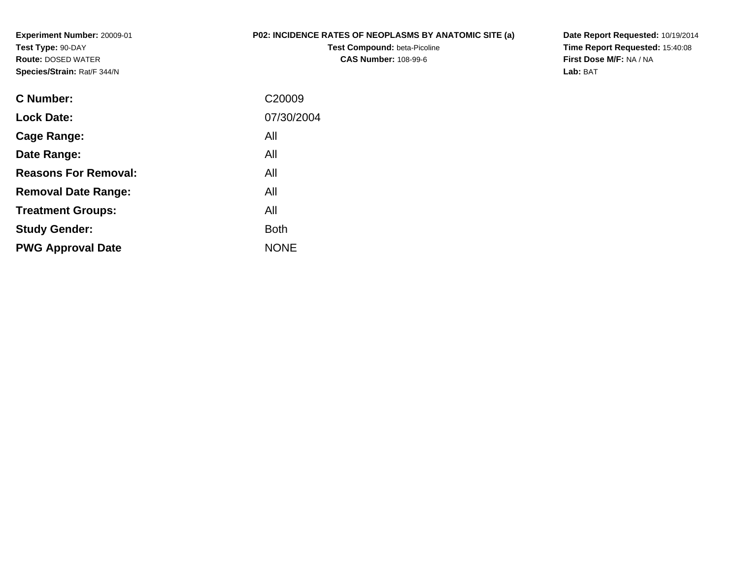**Experiment Number:** 20009-01**Test Type:** 90-DAY **Route:** DOSED WATER**Species/Strain:** Rat/F 344/N

## **P02: INCIDENCE RATES OF NEOPLASMS BY ANATOMIC SITE (a)**

**Test Compound:** beta-Picoline**CAS Number:** 108-99-6

**Date Report Requested:** 10/19/2014 **Time Report Requested:** 15:40:08**First Dose M/F:** NA / NA**Lab:** BAT

| C <sub>20009</sub> |
|--------------------|
| 07/30/2004         |
| All                |
| All                |
| All                |
| All                |
| All                |
| <b>Both</b>        |
| <b>NONE</b>        |
|                    |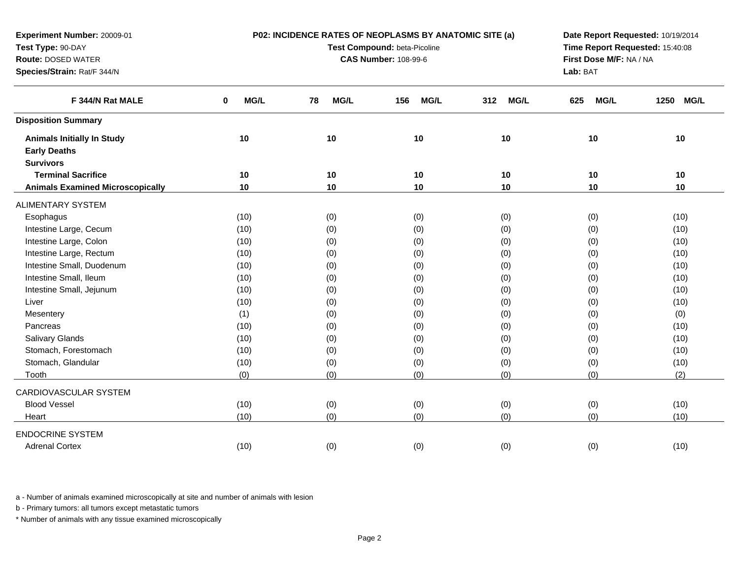| Experiment Number: 20009-01             |           | P02: INCIDENCE RATES OF NEOPLASMS BY ANATOMIC SITE (a) |                                 |                    | Date Report Requested: 10/19/2014 |                     |
|-----------------------------------------|-----------|--------------------------------------------------------|---------------------------------|--------------------|-----------------------------------|---------------------|
| Test Type: 90-DAY                       |           | Test Compound: beta-Picoline                           | Time Report Requested: 15:40:08 |                    |                                   |                     |
| Route: DOSED WATER                      |           | <b>CAS Number: 108-99-6</b>                            | First Dose M/F: NA / NA         |                    |                                   |                     |
| Species/Strain: Rat/F 344/N             |           |                                                        |                                 |                    | Lab: BAT                          |                     |
| F 344/N Rat MALE                        | MG/L<br>0 | MG/L<br>78                                             | <b>MG/L</b><br>156              | <b>MG/L</b><br>312 | MG/L<br>625                       | 1250<br><b>MG/L</b> |
| <b>Disposition Summary</b>              |           |                                                        |                                 |                    |                                   |                     |
| <b>Animals Initially In Study</b>       | 10        | 10                                                     | 10                              | 10                 | 10                                | 10                  |
| <b>Early Deaths</b>                     |           |                                                        |                                 |                    |                                   |                     |
| <b>Survivors</b>                        |           |                                                        |                                 |                    |                                   |                     |
| <b>Terminal Sacrifice</b>               | 10        | 10                                                     | 10                              | 10                 | 10                                | 10                  |
| <b>Animals Examined Microscopically</b> | 10        | 10                                                     | 10                              | 10                 | 10                                | 10                  |
| <b>ALIMENTARY SYSTEM</b>                |           |                                                        |                                 |                    |                                   |                     |
| Esophagus                               | (10)      | (0)                                                    | (0)                             | (0)                | (0)                               | (10)                |
| Intestine Large, Cecum                  | (10)      | (0)                                                    | (0)                             | (0)                | (0)                               | (10)                |
| Intestine Large, Colon                  | (10)      | (0)                                                    | (0)                             | (0)                | (0)                               | (10)                |
| Intestine Large, Rectum                 | (10)      | (0)                                                    | (0)                             | (0)                | (0)                               | (10)                |
| Intestine Small, Duodenum               | (10)      | (0)                                                    | (0)                             | (0)                | (0)                               | (10)                |
| Intestine Small, Ileum                  | (10)      | (0)                                                    | (0)                             | (0)                | (0)                               | (10)                |
| Intestine Small, Jejunum                | (10)      | (0)                                                    | (0)                             | (0)                | (0)                               | (10)                |
| Liver                                   | (10)      | (0)                                                    | (0)                             | (0)                | (0)                               | (10)                |
| Mesentery                               | (1)       | (0)                                                    | (0)                             | (0)                | (0)                               | (0)                 |
| Pancreas                                | (10)      | (0)                                                    | (0)                             | (0)                | (0)                               | (10)                |
| Salivary Glands                         | (10)      | (0)                                                    | (0)                             | (0)                | (0)                               | (10)                |
| Stomach, Forestomach                    | (10)      | (0)                                                    | (0)                             | (0)                | (0)                               | (10)                |
| Stomach, Glandular                      | (10)      | (0)                                                    | (0)                             | (0)                | (0)                               | (10)                |
| Tooth                                   | (0)       | (0)                                                    | (0)                             | (0)                | (0)                               | (2)                 |
| CARDIOVASCULAR SYSTEM                   |           |                                                        |                                 |                    |                                   |                     |
| <b>Blood Vessel</b>                     | (10)      | (0)                                                    | (0)                             | (0)                | (0)                               | (10)                |
| Heart                                   | (10)      | (0)                                                    | (0)                             | (0)                | (0)                               | (10)                |
| <b>ENDOCRINE SYSTEM</b>                 |           |                                                        |                                 |                    |                                   |                     |
| <b>Adrenal Cortex</b>                   | (10)      | (0)                                                    | (0)                             | (0)                | (0)                               | (10)                |

b - Primary tumors: all tumors except metastatic tumors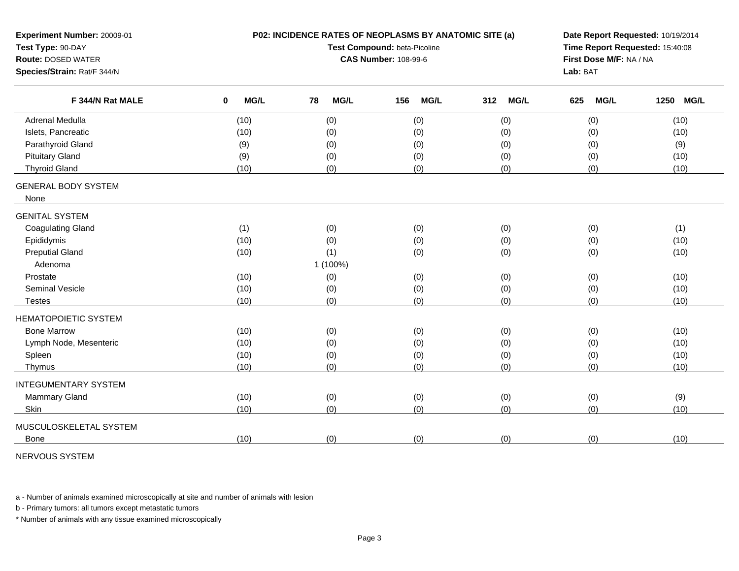| Experiment Number: 20009-01<br>Test Type: 90-DAY<br><b>Route: DOSED WATER</b><br>Species/Strain: Rat/F 344/N |                     | P02: INCIDENCE RATES OF NEOPLASMS BY ANATOMIC SITE (a)<br>Test Compound: beta-Picoline<br><b>CAS Number: 108-99-6</b> | Date Report Requested: 10/19/2014<br>Time Report Requested: 15:40:08<br>First Dose M/F: NA / NA<br>Lab: BAT |                    |                    |                     |
|--------------------------------------------------------------------------------------------------------------|---------------------|-----------------------------------------------------------------------------------------------------------------------|-------------------------------------------------------------------------------------------------------------|--------------------|--------------------|---------------------|
| F 344/N Rat MALE                                                                                             | MG/L<br>$\mathbf 0$ | MG/L<br>78                                                                                                            | MG/L<br>156                                                                                                 | <b>MG/L</b><br>312 | 625<br><b>MG/L</b> | 1250<br><b>MG/L</b> |
| Adrenal Medulla                                                                                              | (10)                | (0)                                                                                                                   | (0)                                                                                                         | (0)                | (0)                | (10)                |
| Islets, Pancreatic                                                                                           | (10)                | (0)                                                                                                                   | (0)                                                                                                         | (0)                | (0)                | (10)                |
| Parathyroid Gland                                                                                            | (9)                 | (0)                                                                                                                   | (0)                                                                                                         | (0)                | (0)                | (9)                 |
| <b>Pituitary Gland</b>                                                                                       | (9)                 | (0)                                                                                                                   | (0)                                                                                                         | (0)                | (0)                | (10)                |
| <b>Thyroid Gland</b>                                                                                         | (10)                | (0)                                                                                                                   | (0)                                                                                                         | (0)                | (0)                | (10)                |
| <b>GENERAL BODY SYSTEM</b><br>None                                                                           |                     |                                                                                                                       |                                                                                                             |                    |                    |                     |
| <b>GENITAL SYSTEM</b>                                                                                        |                     |                                                                                                                       |                                                                                                             |                    |                    |                     |
| <b>Coagulating Gland</b>                                                                                     | (1)                 | (0)                                                                                                                   | (0)                                                                                                         | (0)                | (0)                | (1)                 |
| Epididymis                                                                                                   | (10)                | (0)                                                                                                                   | (0)                                                                                                         | (0)                | (0)                | (10)                |
| <b>Preputial Gland</b>                                                                                       | (10)                | (1)                                                                                                                   | (0)                                                                                                         | (0)                | (0)                | (10)                |
| Adenoma                                                                                                      |                     | 1 (100%)                                                                                                              |                                                                                                             |                    |                    |                     |
| Prostate                                                                                                     | (10)                | (0)                                                                                                                   | (0)                                                                                                         | (0)                | (0)                | (10)                |
| <b>Seminal Vesicle</b>                                                                                       | (10)                | (0)                                                                                                                   | (0)                                                                                                         | (0)                | (0)                | (10)                |
| <b>Testes</b>                                                                                                | (10)                | (0)                                                                                                                   | (0)<br>(0)                                                                                                  |                    | (0)                | (10)                |
| <b>HEMATOPOIETIC SYSTEM</b>                                                                                  |                     |                                                                                                                       |                                                                                                             |                    |                    |                     |
| <b>Bone Marrow</b>                                                                                           | (10)                | (0)                                                                                                                   | (0)                                                                                                         | (0)                | (0)                | (10)                |
| Lymph Node, Mesenteric                                                                                       | (10)                | (0)                                                                                                                   | (0)                                                                                                         | (0)                | (0)                | (10)                |
| Spleen                                                                                                       | (10)                | (0)                                                                                                                   | (0)                                                                                                         |                    | (0)                | (10)                |
| Thymus                                                                                                       | (10)                | (0)                                                                                                                   | (0)<br>(0)<br>(0)                                                                                           |                    | (0)                | (10)                |
| <b>INTEGUMENTARY SYSTEM</b>                                                                                  |                     |                                                                                                                       |                                                                                                             |                    |                    |                     |
| <b>Mammary Gland</b>                                                                                         | (10)                | (0)                                                                                                                   | (0)                                                                                                         | (0)                | (0)                | (9)                 |
| Skin                                                                                                         | (10)                | (0)                                                                                                                   | (0)                                                                                                         | (0)                | (0)                | (10)                |
| MUSCULOSKELETAL SYSTEM                                                                                       |                     |                                                                                                                       |                                                                                                             |                    |                    |                     |
| <b>Bone</b>                                                                                                  |                     |                                                                                                                       |                                                                                                             |                    |                    |                     |

NERVOUS SYSTEM

a - Number of animals examined microscopically at site and number of animals with lesion

b - Primary tumors: all tumors except metastatic tumors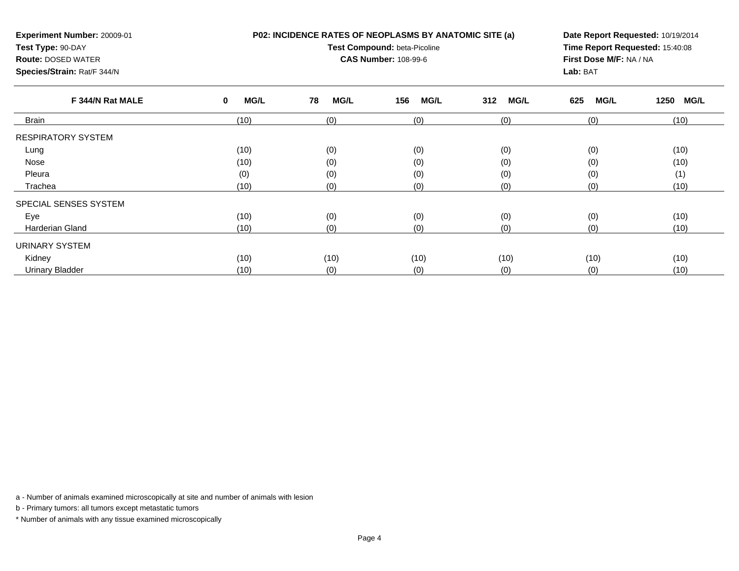| Experiment Number: 20009-01<br>Test Type: 90-DAY<br><b>Route: DOSED WATER</b><br>Species/Strain: Rat/F 344/N |                  | <b>P02: INCIDENCE RATES OF NEOPLASMS BY ANATOMIC SITE (a)</b><br><b>Test Compound: beta-Picoline</b><br><b>CAS Number: 108-99-6</b> | Date Report Requested: 10/19/2014<br>Time Report Requested: 15:40:08<br>First Dose M/F: NA / NA<br>Lab: BAT |                    |                    |              |
|--------------------------------------------------------------------------------------------------------------|------------------|-------------------------------------------------------------------------------------------------------------------------------------|-------------------------------------------------------------------------------------------------------------|--------------------|--------------------|--------------|
| F 344/N Rat MALE                                                                                             | <b>MG/L</b><br>0 | <b>MG/L</b><br>78                                                                                                                   | 156<br><b>MG/L</b>                                                                                          | <b>MG/L</b><br>312 | <b>MG/L</b><br>625 | 1250<br>MG/L |
| Brain                                                                                                        | (10)             | (0)                                                                                                                                 | (0)                                                                                                         | (0)                | (0)                | (10)         |
| <b>RESPIRATORY SYSTEM</b><br>Lung                                                                            | (10)             | (0)                                                                                                                                 | (0)                                                                                                         | (0)                | (0)                | (10)         |

e (10) (0) (0) (0) (0) (0) (0) (0) (0) (10)

(0) (0) (0) (0) (0) (1)

e (10) (10) (0) (0) (0) (0) (0) (0) (0) (10)

(10) (10) (10) (10) (10) (10)

a (10) (0) (0) (0) (0) (0) (0) (10)

d (10) (0) (0) (0) (0) (0) (0) (10)

(10) (0) (0) (0) (0) (10)

a - Number of animals examined microscopically at site and number of animals with lesion

b - Primary tumors: all tumors except metastatic tumors

Nose

Eye

Kidney

Pleura

Trachea

SPECIAL SENSES SYSTEM

Harderian Gland

URINARY SYSTEM

Urinary Bladder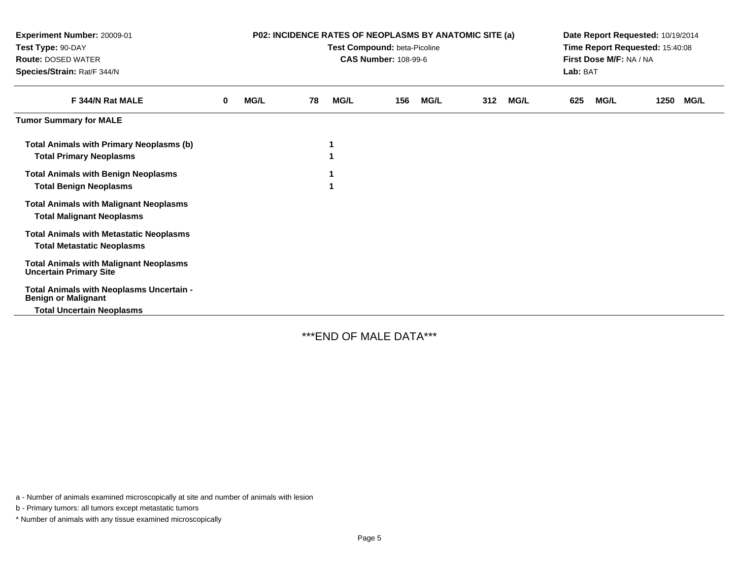| Experiment Number: 20009-01<br>Test Type: 90-DAY<br><b>Route: DOSED WATER</b><br>Species/Strain: Rat/F 344/N | <b>P02: INCIDENCE RATES OF NEOPLASMS BY ANATOMIC SITE (a)</b><br>Test Compound: beta-Picoline<br><b>CAS Number: 108-99-6</b> |             |    |             |     |             | Date Report Requested: 10/19/2014<br>Time Report Requested: 15:40:08<br>First Dose M/F: NA / NA<br>Lab: BAT |             |     |             |      |             |
|--------------------------------------------------------------------------------------------------------------|------------------------------------------------------------------------------------------------------------------------------|-------------|----|-------------|-----|-------------|-------------------------------------------------------------------------------------------------------------|-------------|-----|-------------|------|-------------|
| F 344/N Rat MALE                                                                                             | $\bf{0}$                                                                                                                     | <b>MG/L</b> | 78 | <b>MG/L</b> | 156 | <b>MG/L</b> | 312                                                                                                         | <b>MG/L</b> | 625 | <b>MG/L</b> | 1250 | <b>MG/L</b> |
| <b>Tumor Summary for MALE</b>                                                                                |                                                                                                                              |             |    |             |     |             |                                                                                                             |             |     |             |      |             |
| <b>Total Animals with Primary Neoplasms (b)</b><br><b>Total Primary Neoplasms</b>                            |                                                                                                                              |             |    | 1           |     |             |                                                                                                             |             |     |             |      |             |
| <b>Total Animals with Benign Neoplasms</b><br><b>Total Benign Neoplasms</b>                                  |                                                                                                                              |             |    |             |     |             |                                                                                                             |             |     |             |      |             |
| <b>Total Animals with Malignant Neoplasms</b><br><b>Total Malignant Neoplasms</b>                            |                                                                                                                              |             |    |             |     |             |                                                                                                             |             |     |             |      |             |
| <b>Total Animals with Metastatic Neoplasms</b><br><b>Total Metastatic Neoplasms</b>                          |                                                                                                                              |             |    |             |     |             |                                                                                                             |             |     |             |      |             |
| <b>Total Animals with Malignant Neoplasms</b><br><b>Uncertain Primary Site</b>                               |                                                                                                                              |             |    |             |     |             |                                                                                                             |             |     |             |      |             |
| Total Animals with Neoplasms Uncertain -<br><b>Benign or Malignant</b><br><b>Total Uncertain Neoplasms</b>   |                                                                                                                              |             |    |             |     |             |                                                                                                             |             |     |             |      |             |

\*\*\*END OF MALE DATA\*\*\*

a - Number of animals examined microscopically at site and number of animals with lesion

b - Primary tumors: all tumors except metastatic tumors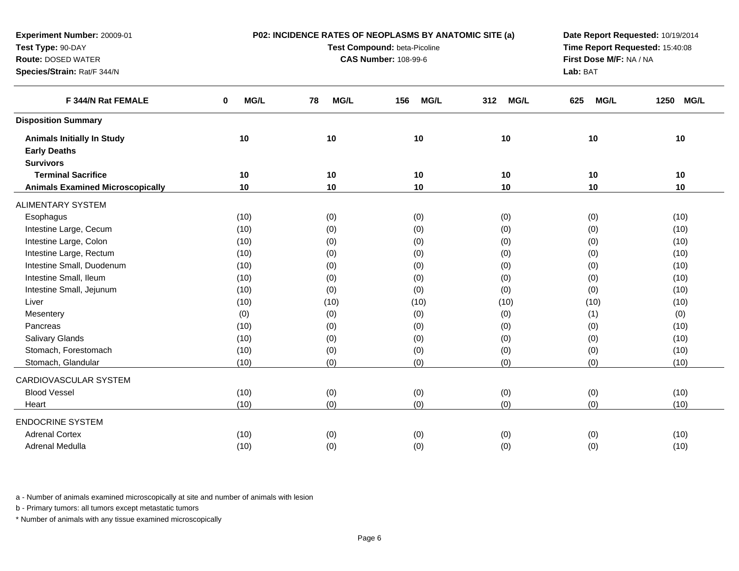| Test Compound: beta-Picoline<br>Time Report Requested: 15:40:08<br>Test Type: 90-DAY<br>First Dose M/F: NA / NA<br><b>Route: DOSED WATER</b><br><b>CAS Number: 108-99-6</b><br>Species/Strain: Rat/F 344/N<br>Lab: BAT<br>F 344/N Rat FEMALE<br>MG/L<br>MG/L<br><b>MG/L</b><br><b>MG/L</b><br><b>MG/L</b><br>1250<br><b>MG/L</b><br>0<br>78<br>156<br>312<br>625<br><b>Disposition Summary</b><br>10<br>10<br>10<br>10<br><b>Animals Initially In Study</b><br>10<br>10<br><b>Early Deaths</b><br><b>Survivors</b><br><b>Terminal Sacrifice</b><br>10<br>10<br>10<br>10<br>10<br>10<br><b>Animals Examined Microscopically</b><br>10<br>10<br>10<br>10<br>10<br>10<br><b>ALIMENTARY SYSTEM</b><br>(0)<br>Esophagus<br>(10)<br>(0)<br>(0)<br>(0)<br>(10)<br>Intestine Large, Cecum<br>(0)<br>(10)<br>(0)<br>(0)<br>(0)<br>(10)<br>Intestine Large, Colon<br>(0)<br>(10)<br>(0)<br>(0)<br>(0)<br>(10)<br>Intestine Large, Rectum<br>(10)<br>(0)<br>(0)<br>(0)<br>(10)<br>(0)<br>Intestine Small, Duodenum<br>(0)<br>(0)<br>(10)<br>(10)<br>(0)<br>(0)<br>Intestine Small, Ileum<br>(0)<br>(0)<br>(0)<br>(10)<br>(10)<br>(0)<br>Intestine Small, Jejunum<br>(0)<br>(0)<br>(0)<br>(0)<br>(10)<br>(10)<br>Liver<br>(10)<br>(10)<br>(10)<br>(10)<br>(10)<br>(10)<br>(0)<br>(0)<br>(0)<br>(0)<br>(1)<br>(0)<br>Mesentery<br>(0)<br>Pancreas<br>(0)<br>(0)<br>(0)<br>(10)<br>(10)<br>Salivary Glands<br>(0)<br>(0)<br>(10)<br>(0)<br>(0)<br>(10)<br>Stomach, Forestomach<br>(0)<br>(10)<br>(0)<br>(0)<br>(10)<br>(0)<br>Stomach, Glandular<br>(0)<br>(0)<br>(0)<br>(0)<br>(10)<br>(10)<br>CARDIOVASCULAR SYSTEM | Experiment Number: 20009-01 |  | P02: INCIDENCE RATES OF NEOPLASMS BY ANATOMIC SITE (a) |  | Date Report Requested: 10/19/2014 |  |
|---------------------------------------------------------------------------------------------------------------------------------------------------------------------------------------------------------------------------------------------------------------------------------------------------------------------------------------------------------------------------------------------------------------------------------------------------------------------------------------------------------------------------------------------------------------------------------------------------------------------------------------------------------------------------------------------------------------------------------------------------------------------------------------------------------------------------------------------------------------------------------------------------------------------------------------------------------------------------------------------------------------------------------------------------------------------------------------------------------------------------------------------------------------------------------------------------------------------------------------------------------------------------------------------------------------------------------------------------------------------------------------------------------------------------------------------------------------------------------------------------------------------------------------------------------------------------------------------------------|-----------------------------|--|--------------------------------------------------------|--|-----------------------------------|--|
|                                                                                                                                                                                                                                                                                                                                                                                                                                                                                                                                                                                                                                                                                                                                                                                                                                                                                                                                                                                                                                                                                                                                                                                                                                                                                                                                                                                                                                                                                                                                                                                                         |                             |  |                                                        |  |                                   |  |
|                                                                                                                                                                                                                                                                                                                                                                                                                                                                                                                                                                                                                                                                                                                                                                                                                                                                                                                                                                                                                                                                                                                                                                                                                                                                                                                                                                                                                                                                                                                                                                                                         |                             |  |                                                        |  |                                   |  |
|                                                                                                                                                                                                                                                                                                                                                                                                                                                                                                                                                                                                                                                                                                                                                                                                                                                                                                                                                                                                                                                                                                                                                                                                                                                                                                                                                                                                                                                                                                                                                                                                         |                             |  |                                                        |  |                                   |  |
|                                                                                                                                                                                                                                                                                                                                                                                                                                                                                                                                                                                                                                                                                                                                                                                                                                                                                                                                                                                                                                                                                                                                                                                                                                                                                                                                                                                                                                                                                                                                                                                                         |                             |  |                                                        |  |                                   |  |
|                                                                                                                                                                                                                                                                                                                                                                                                                                                                                                                                                                                                                                                                                                                                                                                                                                                                                                                                                                                                                                                                                                                                                                                                                                                                                                                                                                                                                                                                                                                                                                                                         |                             |  |                                                        |  |                                   |  |
|                                                                                                                                                                                                                                                                                                                                                                                                                                                                                                                                                                                                                                                                                                                                                                                                                                                                                                                                                                                                                                                                                                                                                                                                                                                                                                                                                                                                                                                                                                                                                                                                         |                             |  |                                                        |  |                                   |  |
|                                                                                                                                                                                                                                                                                                                                                                                                                                                                                                                                                                                                                                                                                                                                                                                                                                                                                                                                                                                                                                                                                                                                                                                                                                                                                                                                                                                                                                                                                                                                                                                                         |                             |  |                                                        |  |                                   |  |
|                                                                                                                                                                                                                                                                                                                                                                                                                                                                                                                                                                                                                                                                                                                                                                                                                                                                                                                                                                                                                                                                                                                                                                                                                                                                                                                                                                                                                                                                                                                                                                                                         |                             |  |                                                        |  |                                   |  |
|                                                                                                                                                                                                                                                                                                                                                                                                                                                                                                                                                                                                                                                                                                                                                                                                                                                                                                                                                                                                                                                                                                                                                                                                                                                                                                                                                                                                                                                                                                                                                                                                         |                             |  |                                                        |  |                                   |  |
|                                                                                                                                                                                                                                                                                                                                                                                                                                                                                                                                                                                                                                                                                                                                                                                                                                                                                                                                                                                                                                                                                                                                                                                                                                                                                                                                                                                                                                                                                                                                                                                                         |                             |  |                                                        |  |                                   |  |
|                                                                                                                                                                                                                                                                                                                                                                                                                                                                                                                                                                                                                                                                                                                                                                                                                                                                                                                                                                                                                                                                                                                                                                                                                                                                                                                                                                                                                                                                                                                                                                                                         |                             |  |                                                        |  |                                   |  |
|                                                                                                                                                                                                                                                                                                                                                                                                                                                                                                                                                                                                                                                                                                                                                                                                                                                                                                                                                                                                                                                                                                                                                                                                                                                                                                                                                                                                                                                                                                                                                                                                         |                             |  |                                                        |  |                                   |  |
|                                                                                                                                                                                                                                                                                                                                                                                                                                                                                                                                                                                                                                                                                                                                                                                                                                                                                                                                                                                                                                                                                                                                                                                                                                                                                                                                                                                                                                                                                                                                                                                                         |                             |  |                                                        |  |                                   |  |
|                                                                                                                                                                                                                                                                                                                                                                                                                                                                                                                                                                                                                                                                                                                                                                                                                                                                                                                                                                                                                                                                                                                                                                                                                                                                                                                                                                                                                                                                                                                                                                                                         |                             |  |                                                        |  |                                   |  |
|                                                                                                                                                                                                                                                                                                                                                                                                                                                                                                                                                                                                                                                                                                                                                                                                                                                                                                                                                                                                                                                                                                                                                                                                                                                                                                                                                                                                                                                                                                                                                                                                         |                             |  |                                                        |  |                                   |  |
|                                                                                                                                                                                                                                                                                                                                                                                                                                                                                                                                                                                                                                                                                                                                                                                                                                                                                                                                                                                                                                                                                                                                                                                                                                                                                                                                                                                                                                                                                                                                                                                                         |                             |  |                                                        |  |                                   |  |
|                                                                                                                                                                                                                                                                                                                                                                                                                                                                                                                                                                                                                                                                                                                                                                                                                                                                                                                                                                                                                                                                                                                                                                                                                                                                                                                                                                                                                                                                                                                                                                                                         |                             |  |                                                        |  |                                   |  |
|                                                                                                                                                                                                                                                                                                                                                                                                                                                                                                                                                                                                                                                                                                                                                                                                                                                                                                                                                                                                                                                                                                                                                                                                                                                                                                                                                                                                                                                                                                                                                                                                         |                             |  |                                                        |  |                                   |  |
|                                                                                                                                                                                                                                                                                                                                                                                                                                                                                                                                                                                                                                                                                                                                                                                                                                                                                                                                                                                                                                                                                                                                                                                                                                                                                                                                                                                                                                                                                                                                                                                                         |                             |  |                                                        |  |                                   |  |
|                                                                                                                                                                                                                                                                                                                                                                                                                                                                                                                                                                                                                                                                                                                                                                                                                                                                                                                                                                                                                                                                                                                                                                                                                                                                                                                                                                                                                                                                                                                                                                                                         |                             |  |                                                        |  |                                   |  |
|                                                                                                                                                                                                                                                                                                                                                                                                                                                                                                                                                                                                                                                                                                                                                                                                                                                                                                                                                                                                                                                                                                                                                                                                                                                                                                                                                                                                                                                                                                                                                                                                         |                             |  |                                                        |  |                                   |  |
|                                                                                                                                                                                                                                                                                                                                                                                                                                                                                                                                                                                                                                                                                                                                                                                                                                                                                                                                                                                                                                                                                                                                                                                                                                                                                                                                                                                                                                                                                                                                                                                                         |                             |  |                                                        |  |                                   |  |
|                                                                                                                                                                                                                                                                                                                                                                                                                                                                                                                                                                                                                                                                                                                                                                                                                                                                                                                                                                                                                                                                                                                                                                                                                                                                                                                                                                                                                                                                                                                                                                                                         |                             |  |                                                        |  |                                   |  |
|                                                                                                                                                                                                                                                                                                                                                                                                                                                                                                                                                                                                                                                                                                                                                                                                                                                                                                                                                                                                                                                                                                                                                                                                                                                                                                                                                                                                                                                                                                                                                                                                         |                             |  |                                                        |  |                                   |  |
|                                                                                                                                                                                                                                                                                                                                                                                                                                                                                                                                                                                                                                                                                                                                                                                                                                                                                                                                                                                                                                                                                                                                                                                                                                                                                                                                                                                                                                                                                                                                                                                                         |                             |  |                                                        |  |                                   |  |
| <b>Blood Vessel</b><br>(0)<br>(0)<br>(0)<br>(0)<br>(10)<br>(10)                                                                                                                                                                                                                                                                                                                                                                                                                                                                                                                                                                                                                                                                                                                                                                                                                                                                                                                                                                                                                                                                                                                                                                                                                                                                                                                                                                                                                                                                                                                                         |                             |  |                                                        |  |                                   |  |
| (0)<br>(0)<br>(0)<br>(10)<br>(0)<br>(10)<br>Heart                                                                                                                                                                                                                                                                                                                                                                                                                                                                                                                                                                                                                                                                                                                                                                                                                                                                                                                                                                                                                                                                                                                                                                                                                                                                                                                                                                                                                                                                                                                                                       |                             |  |                                                        |  |                                   |  |
| <b>ENDOCRINE SYSTEM</b>                                                                                                                                                                                                                                                                                                                                                                                                                                                                                                                                                                                                                                                                                                                                                                                                                                                                                                                                                                                                                                                                                                                                                                                                                                                                                                                                                                                                                                                                                                                                                                                 |                             |  |                                                        |  |                                   |  |
| <b>Adrenal Cortex</b><br>(10)<br>(0)<br>(0)<br>(0)<br>(0)<br>(10)                                                                                                                                                                                                                                                                                                                                                                                                                                                                                                                                                                                                                                                                                                                                                                                                                                                                                                                                                                                                                                                                                                                                                                                                                                                                                                                                                                                                                                                                                                                                       |                             |  |                                                        |  |                                   |  |
| Adrenal Medulla<br>(10)<br>(0)<br>(0)<br>(0)<br>(0)<br>(10)                                                                                                                                                                                                                                                                                                                                                                                                                                                                                                                                                                                                                                                                                                                                                                                                                                                                                                                                                                                                                                                                                                                                                                                                                                                                                                                                                                                                                                                                                                                                             |                             |  |                                                        |  |                                   |  |

b - Primary tumors: all tumors except metastatic tumors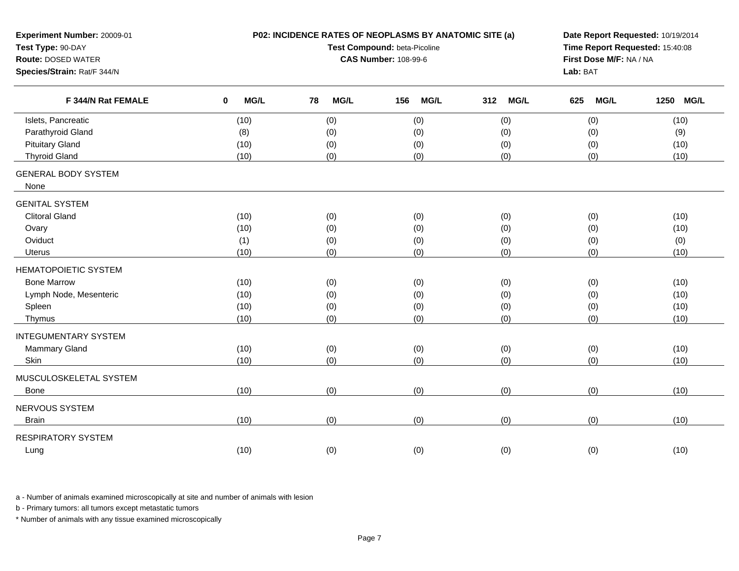| Experiment Number: 20009-01<br>Test Type: 90-DAY<br><b>Route: DOSED WATER</b><br>Species/Strain: Rat/F 344/N |                            | P02: INCIDENCE RATES OF NEOPLASMS BY ANATOMIC SITE (a)<br>Test Compound: beta-Picoline<br><b>CAS Number: 108-99-6</b> | Date Report Requested: 10/19/2014<br>Time Report Requested: 15:40:08<br>First Dose M/F: NA / NA<br>Lab: BAT |                    |                    |                     |
|--------------------------------------------------------------------------------------------------------------|----------------------------|-----------------------------------------------------------------------------------------------------------------------|-------------------------------------------------------------------------------------------------------------|--------------------|--------------------|---------------------|
| F 344/N Rat FEMALE                                                                                           | $\mathbf 0$<br><b>MG/L</b> | 78<br><b>MG/L</b>                                                                                                     | <b>MG/L</b><br>156                                                                                          | <b>MG/L</b><br>312 | <b>MG/L</b><br>625 | 1250<br><b>MG/L</b> |
| Islets, Pancreatic                                                                                           | (10)                       | (0)                                                                                                                   | (0)                                                                                                         | (0)                | (0)                | (10)                |
| Parathyroid Gland                                                                                            | (8)                        | (0)                                                                                                                   | (0)                                                                                                         | (0)                | (0)                | (9)                 |
| <b>Pituitary Gland</b>                                                                                       | (10)                       | (0)                                                                                                                   | (0)                                                                                                         | (0)                | (0)                | (10)                |
| <b>Thyroid Gland</b>                                                                                         | (10)                       | (0)                                                                                                                   | (0)                                                                                                         | (0)                | (0)                | (10)                |
| <b>GENERAL BODY SYSTEM</b><br>None                                                                           |                            |                                                                                                                       |                                                                                                             |                    |                    |                     |
| <b>GENITAL SYSTEM</b>                                                                                        |                            |                                                                                                                       |                                                                                                             |                    |                    |                     |
| <b>Clitoral Gland</b>                                                                                        | (10)                       | (0)                                                                                                                   | (0)                                                                                                         | (0)                | (0)                | (10)                |
| Ovary                                                                                                        | (10)                       | (0)                                                                                                                   | (0)                                                                                                         | (0)                | (0)                | (10)                |
| Oviduct                                                                                                      | (1)                        | (0)                                                                                                                   | (0)                                                                                                         | (0)                | (0)                | (0)                 |
| <b>Uterus</b>                                                                                                | (10)                       | (0)                                                                                                                   | (0)                                                                                                         | (0)                | (0)                | (10)                |
| <b>HEMATOPOIETIC SYSTEM</b>                                                                                  |                            |                                                                                                                       |                                                                                                             |                    |                    |                     |
| <b>Bone Marrow</b>                                                                                           | (10)                       | (0)                                                                                                                   | (0)                                                                                                         | (0)                | (0)                | (10)                |
| Lymph Node, Mesenteric                                                                                       | (10)                       | (0)                                                                                                                   | (0)                                                                                                         | (0)                | (0)                | (10)                |
| Spleen                                                                                                       | (10)                       | (0)                                                                                                                   | (0)                                                                                                         | (0)                | (0)                | (10)                |
| Thymus                                                                                                       | (10)                       | (0)                                                                                                                   | (0)                                                                                                         | (0)                | (0)                | (10)                |
| <b>INTEGUMENTARY SYSTEM</b>                                                                                  |                            |                                                                                                                       |                                                                                                             |                    |                    |                     |
| Mammary Gland                                                                                                | (10)                       | (0)                                                                                                                   | (0)                                                                                                         | (0)                | (0)                | (10)                |
| Skin                                                                                                         | (10)                       | (0)                                                                                                                   | (0)                                                                                                         | (0)                | (0)                | (10)                |
| MUSCULOSKELETAL SYSTEM                                                                                       |                            |                                                                                                                       |                                                                                                             |                    |                    |                     |
| Bone                                                                                                         | (10)                       | (0)                                                                                                                   | (0)                                                                                                         | (0)                | (0)                | (10)                |
| NERVOUS SYSTEM                                                                                               |                            |                                                                                                                       |                                                                                                             |                    |                    |                     |
| <b>Brain</b>                                                                                                 | (10)                       | (0)                                                                                                                   | (0)                                                                                                         | (0)                | (0)                | (10)                |
| <b>RESPIRATORY SYSTEM</b>                                                                                    |                            |                                                                                                                       |                                                                                                             |                    |                    |                     |
| Lung                                                                                                         | (10)                       | (0)                                                                                                                   | (0)                                                                                                         | (0)                | (0)                | (10)                |
|                                                                                                              |                            |                                                                                                                       |                                                                                                             |                    |                    |                     |

b - Primary tumors: all tumors except metastatic tumors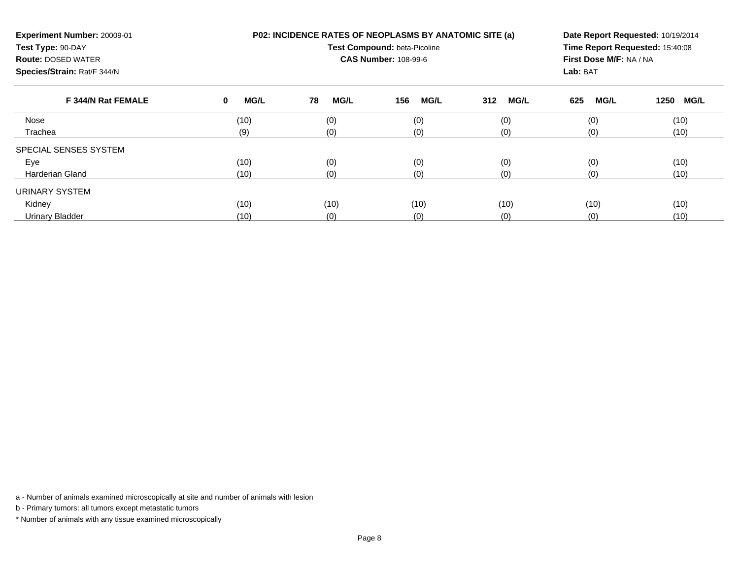| Experiment Number: 20009-01<br>Test Type: 90-DAY<br><b>Route: DOSED WATER</b><br>Species/Strain: Rat/F 344/N |                  | <b>P02: INCIDENCE RATES OF NEOPLASMS BY ANATOMIC SITE (a)</b><br>Test Compound: beta-Picoline<br><b>CAS Number: 108-99-6</b> | Date Report Requested: 10/19/2014<br>Time Report Requested: 15:40:08<br>First Dose M/F: NA / NA<br>Lab: BAT |                    |                    |                     |
|--------------------------------------------------------------------------------------------------------------|------------------|------------------------------------------------------------------------------------------------------------------------------|-------------------------------------------------------------------------------------------------------------|--------------------|--------------------|---------------------|
| F 344/N Rat FEMALE                                                                                           | <b>MG/L</b><br>0 | 78<br><b>MG/L</b>                                                                                                            | <b>MG/L</b><br>156                                                                                          | <b>MG/L</b><br>312 | <b>MG/L</b><br>625 | <b>MG/L</b><br>1250 |
| Nose                                                                                                         | (10)             | (0)                                                                                                                          | (0)                                                                                                         | (0)                | (0)                | (10)                |
| Trachea                                                                                                      | (9)              | (0)                                                                                                                          | (0)                                                                                                         | (0)                | (0)                | (10)                |
| SPECIAL SENSES SYSTEM                                                                                        |                  |                                                                                                                              |                                                                                                             |                    |                    |                     |
| Eye                                                                                                          | (10)             | (0)                                                                                                                          | (0)                                                                                                         | (0)                | (0)                | (10)                |
| Harderian Gland                                                                                              | (10)             | (0)                                                                                                                          | (0)                                                                                                         | (0)                | (0)                | (10)                |
| URINARY SYSTEM                                                                                               |                  |                                                                                                                              |                                                                                                             |                    |                    |                     |
| Kidney                                                                                                       | (10)             | (10)                                                                                                                         | (10)                                                                                                        | (10)               | (10)               | (10)                |
| <b>Urinary Bladder</b>                                                                                       | (10)             | (0)                                                                                                                          | (0)                                                                                                         | (0)                | (0)                | (10)                |

b - Primary tumors: all tumors except metastatic tumors